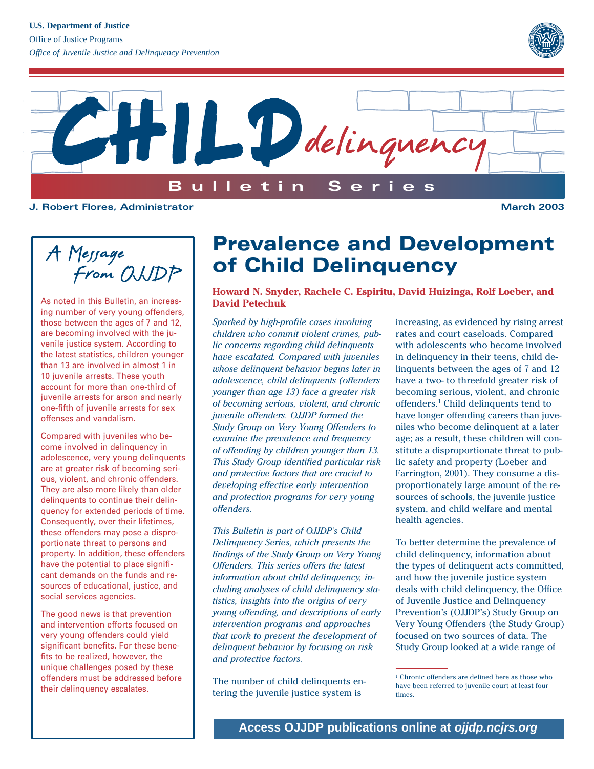



**J. Robert Flores, Administrator March 2003**

A Message<br>From OWDP

As noted in this Bulletin, an increasing number of very young offenders, those between the ages of 7 and 12, are becoming involved with the juvenile justice system. According to the latest statistics, children younger than 13 are involved in almost 1 in 10 juvenile arrests. These youth account for more than one-third of juvenile arrests for arson and nearly one-fifth of juvenile arrests for sex offenses and vandalism.

Compared with juveniles who become involved in delinquency in adolescence, very young delinquents are at greater risk of becoming serious, violent, and chronic offenders. They are also more likely than older delinquents to continue their delinquency for extended periods of time. Consequently, over their lifetimes, these offenders may pose a disproportionate threat to persons and property. In addition, these offenders have the potential to place significant demands on the funds and resources of educational, justice, and social services agencies.

The good news is that prevention and intervention efforts focused on very young offenders could yield significant benefits. For these benefits to be realized, however, the unique challenges posed by these offenders must be addressed before their delinquency escalates.

# **Prevalence and Development of Child Delinquency**

**Howard N. Snyder, Rachele C. Espiritu, David Huizinga, Rolf Loeber, and David Petechuk**

*Sparked by high-profile cases involving children who commit violent crimes, public concerns regarding child delinquents have escalated. Compared with juveniles whose delinquent behavior begins later in adolescence, child delinquents (offenders younger than age 13) face a greater risk of becoming serious, violent, and chronic juvenile offenders. OJJDP formed the Study Group on Very Young Offenders to examine the prevalence and frequency of offending by children younger than 13. This Study Group identified particular risk and protective factors that are crucial to developing effective early intervention and protection programs for very young offenders.* 

*This Bulletin is part of OJJDP's Child Delinquency Series, which presents the findings of the Study Group on Very Young Offenders. This series offers the latest information about child delinquency, including analyses of child delinquency statistics, insights into the origins of very young offending, and descriptions of early intervention programs and approaches that work to prevent the development of delinquent behavior by focusing on risk and protective factors.*

The number of child delinquents entering the juvenile justice system is

increasing, as evidenced by rising arrest rates and court caseloads. Compared with adolescents who become involved in delinquency in their teens, child delinquents between the ages of 7 and 12 have a two- to threefold greater risk of becoming serious, violent, and chronic offenders.1 Child delinquents tend to have longer offending careers than juveniles who become delinquent at a later age; as a result, these children will constitute a disproportionate threat to public safety and property (Loeber and Farrington, 2001). They consume a disproportionately large amount of the resources of schools, the juvenile justice system, and child welfare and mental health agencies.

To better determine the prevalence of child delinquency, information about the types of delinquent acts committed, and how the juvenile justice system deals with child delinquency, the Office of Juvenile Justice and Delinquency Prevention's (OJJDP's) Study Group on Very Young Offenders (the Study Group) focused on two sources of data. The Study Group looked at a wide range of

<sup>&</sup>lt;sup>1</sup> Chronic offenders are defined here as those who have been referred to juvenile court at least four times.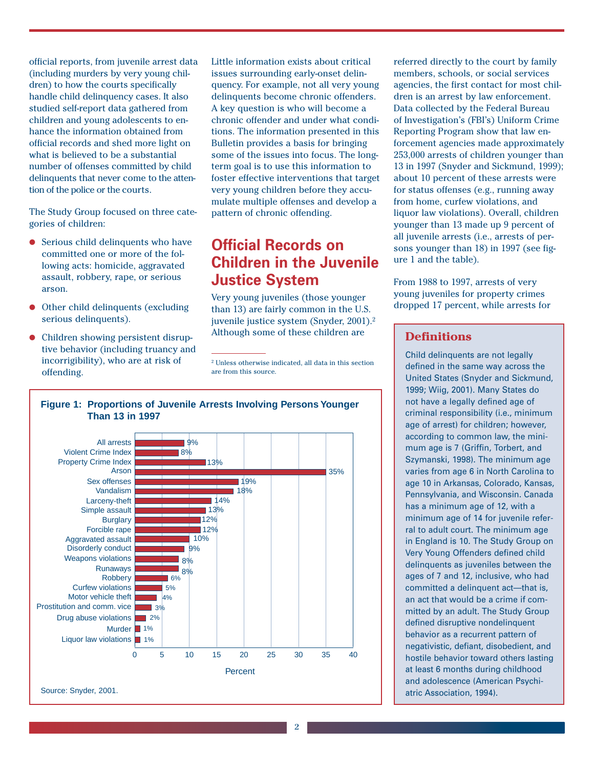official reports, from juvenile arrest data (including murders by very young children) to how the courts specifically handle child delinquency cases. It also studied self-report data gathered from children and young adolescents to enhance the information obtained from official records and shed more light on what is believed to be a substantial number of offenses committed by child delinquents that never come to the attention of the police or the courts.

The Study Group focused on three categories of children:

- Serious child delinquents who have committed one or more of the following acts: homicide, aggravated assault, robbery, rape, or serious arson.
- Other child delinquents (excluding serious delinquents).
- Children showing persistent disruptive behavior (including truancy and incorrigibility), who are at risk of offending.

Little information exists about critical issues surrounding early-onset delinquency. For example, not all very young delinquents become chronic offenders. A key question is who will become a chronic offender and under what conditions. The information presented in this Bulletin provides a basis for bringing some of the issues into focus. The longterm goal is to use this information to foster effective interventions that target very young children before they accumulate multiple offenses and develop a pattern of chronic offending.

## **Official Records on Children in the Juvenile Justice System**

Very young juveniles (those younger than 13) are fairly common in the U.S. juvenile justice system (Snyder, 2001).2 Although some of these children are

<sup>2</sup> Unless otherwise indicated, all data in this section are from this source.

#### **Figure 1: Proportions of Juvenile Arrests Involving Persons Younger Than 13 in 1997**



referred directly to the court by family members, schools, or social services agencies, the first contact for most children is an arrest by law enforcement. Data collected by the Federal Bureau of Investigation's (FBI's) Uniform Crime Reporting Program show that law enforcement agencies made approximately 253,000 arrests of children younger than 13 in 1997 (Snyder and Sickmund, 1999); about 10 percent of these arrests were for status offenses (e.g., running away from home, curfew violations, and liquor law violations). Overall, children younger than 13 made up 9 percent of all juvenile arrests (i.e., arrests of persons younger than 18) in 1997 (see figure 1 and the table).

From 1988 to 1997, arrests of very young juveniles for property crimes dropped 17 percent, while arrests for

### **Definitions**

Child delinquents are not legally defined in the same way across the United States (Snyder and Sickmund, 1999; Wiig, 2001). Many States do not have a legally defined age of criminal responsibility (i.e., minimum age of arrest) for children; however, according to common law, the minimum age is 7 (Griffin, Torbert, and Szymanski, 1998). The minimum age varies from age 6 in North Carolina to age 10 in Arkansas, Colorado, Kansas, Pennsylvania, and Wisconsin. Canada has a minimum age of 12, with a minimum age of 14 for juvenile referral to adult court. The minimum age in England is 10. The Study Group on Very Young Offenders defined child delinquents as juveniles between the ages of 7 and 12, inclusive, who had committed a delinquent act—that is. an act that would be a crime if committed by an adult. The Study Group defined disruptive nondelinquent behavior as a recurrent pattern of negativistic, defiant, disobedient, and hostile behavior toward others lasting at least 6 months during childhood and adolescence (American Psychiatric Association, 1994).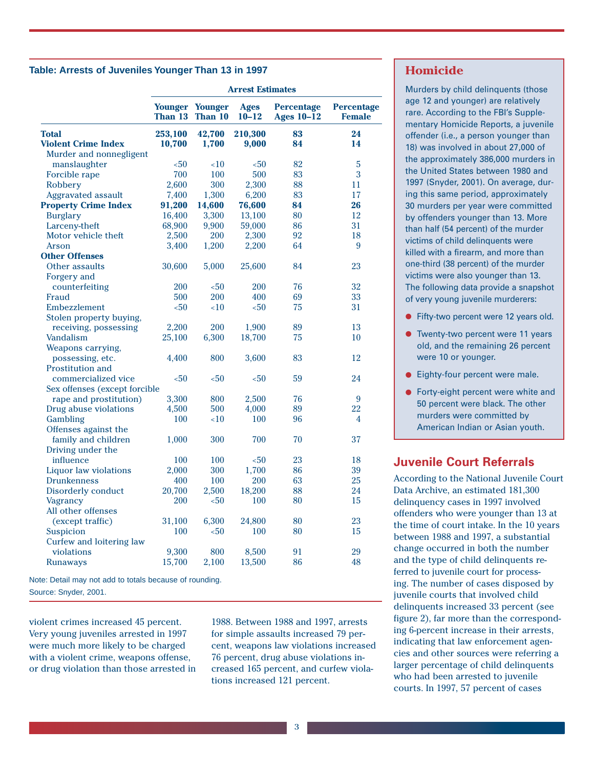#### **Table: Arrests of Juveniles Younger Than 13 in 1997**

|                               | <b>Arrest Estimates</b> |                                   |                          |                                        |                                    |
|-------------------------------|-------------------------|-----------------------------------|--------------------------|----------------------------------------|------------------------------------|
|                               | Than 13                 | <b>Younger Younger</b><br>Than 10 | <b>Ages</b><br>$10 - 12$ | <b>Percentage</b><br><b>Ages 10-12</b> | <b>Percentage</b><br><b>Female</b> |
| <b>Total</b>                  | 253,100                 | 42,700                            | 210,300                  | 83                                     | 24                                 |
| <b>Violent Crime Index</b>    | 10,700                  | 1,700                             | 9,000                    | 84                                     | 14                                 |
| Murder and nonnegligent       |                         |                                   |                          |                                        |                                    |
| manslaughter                  | $50$                    | ~10                               | $50$                     | 82                                     | 5                                  |
| Forcible rape                 | 700                     | 100                               | 500                      | 83                                     | 3                                  |
| Robbery                       | 2,600                   | 300                               | 2,300                    | 88                                     | 11                                 |
| <b>Aggravated assault</b>     | 7,400                   | 1,300                             | 6,200                    | 83                                     | 17                                 |
| <b>Property Crime Index</b>   | 91,200                  | 14,600                            | 76,600                   | 84                                     | 26                                 |
| <b>Burglary</b>               | 16,400                  | 3,300                             | 13,100                   | 80                                     | 12                                 |
| Larceny-theft                 | 68,900                  | 9,900                             | 59,000                   | 86                                     | 31                                 |
| Motor vehicle theft           | 2,500                   | 200                               | 2,300                    | 92                                     | 18                                 |
| Arson                         | 3,400                   | 1,200                             | 2,200                    | 64                                     | 9                                  |
| <b>Other Offenses</b>         |                         |                                   |                          |                                        |                                    |
| Other assaults                | 30,600                  | 5,000                             | 25,600                   | 84                                     | 23                                 |
| Forgery and                   |                         |                                   |                          |                                        |                                    |
| counterfeiting                | 200                     | $50$                              | 200                      | 76                                     | 32                                 |
| Fraud                         | 500                     | 200                               | 400                      | 69                                     | 33                                 |
| Embezzlement                  | $50$                    | ~10                               | $50$                     | 75                                     | 31                                 |
| Stolen property buying,       |                         |                                   |                          |                                        |                                    |
| receiving, possessing         | 2,200                   | 200                               | 1,900                    | 89                                     | 13                                 |
| Vandalism                     | 25,100                  | 6,300                             | 18,700                   | 75                                     | 10                                 |
| Weapons carrying,             |                         |                                   |                          |                                        |                                    |
| possessing, etc.              | 4,400                   | 800                               | 3,600                    | 83                                     | 12                                 |
| Prostitution and              |                         |                                   |                          |                                        |                                    |
| commercialized vice           | $50$                    | $50$                              | $50$                     | 59                                     | 24                                 |
| Sex offenses (except forcible |                         |                                   |                          |                                        |                                    |
| rape and prostitution)        | 3,300                   | 800                               | 2,500                    | 76                                     | 9                                  |
| Drug abuse violations         | 4,500                   | 500                               | 4,000                    | 89                                     | 22                                 |
| Gambling                      | 100                     | ~10                               | 100                      | 96                                     | 4                                  |
| Offenses against the          |                         |                                   |                          |                                        |                                    |
| family and children           | 1,000                   | 300                               | 700                      | 70                                     | 37                                 |
| Driving under the             |                         |                                   |                          |                                        |                                    |
| influence                     | 100                     | 100                               | $50$                     | 23                                     | 18                                 |
| Liquor law violations         | 2,000                   | 300                               | 1,700                    | 86                                     | 39                                 |
| <b>Drunkenness</b>            | 400                     | 100                               | 200                      | 63                                     | 25                                 |
| Disorderly conduct            | 20,700                  | 2,500                             | 18,200                   | 88                                     | 24                                 |
| Vagrancy                      | 200                     | $50$                              | 100                      | 80                                     | 15                                 |
| All other offenses            |                         |                                   |                          |                                        |                                    |
| (except traffic)              | 31,100                  | 6,300                             | 24,800                   | 80                                     | 23                                 |
| Suspicion                     | 100                     | $50$                              | 100                      | 80                                     | 15                                 |
| Curfew and loitering law      |                         |                                   |                          |                                        |                                    |
| violations                    | 9,300                   | 800                               | 8,500                    | 91                                     | 29                                 |
|                               | 15,700                  | 2,100                             | 13,500                   | 86                                     | 48                                 |
| <b>Runaways</b>               |                         |                                   |                          |                                        |                                    |

Note: Detail may not add to totals because of rounding. Source: Snyder, 2001.

violent crimes increased 45 percent. Very young juveniles arrested in 1997 were much more likely to be charged with a violent crime, weapons offense, or drug violation than those arrested in

1988. Between 1988 and 1997, arrests for simple assaults increased 79 percent, weapons law violations increased 76 percent, drug abuse violations increased 165 percent, and curfew violations increased 121 percent.

#### **Homicide**

Murders by child delinquents (those age 12 and younger) are relatively rare. According to the FBI's Supplementary Homicide Reports, a juvenile offender (i.e., a person younger than 18) was involved in about 27,000 of the approximately 386,000 murders in the United States between 1980 and 1997 (Snyder, 2001). On average, during this same period, approximately 30 murders per year were committed by offenders younger than 13. More than half (54 percent) of the murder victims of child delinquents were killed with a firearm, and more than one-third (38 percent) of the murder victims were also younger than 13. The following data provide a snapshot of very young juvenile murderers:

- Fifty-two percent were 12 years old.
- Twenty-two percent were 11 years old, and the remaining 26 percent were 10 or younger.
- Eighty-four percent were male.
- Forty-eight percent were white and 50 percent were black. The other murders were committed by American Indian or Asian youth.

### **Juvenile Court Referrals**

According to the National Juvenile Court Data Archive, an estimated 181,300 delinquency cases in 1997 involved offenders who were younger than 13 at the time of court intake. In the 10 years between 1988 and 1997, a substantial change occurred in both the number and the type of child delinquents referred to juvenile court for processing. The number of cases disposed by juvenile courts that involved child delinquents increased 33 percent (see figure 2), far more than the corresponding 6-percent increase in their arrests, indicating that law enforcement agencies and other sources were referring a larger percentage of child delinquents who had been arrested to juvenile courts. In 1997, 57 percent of cases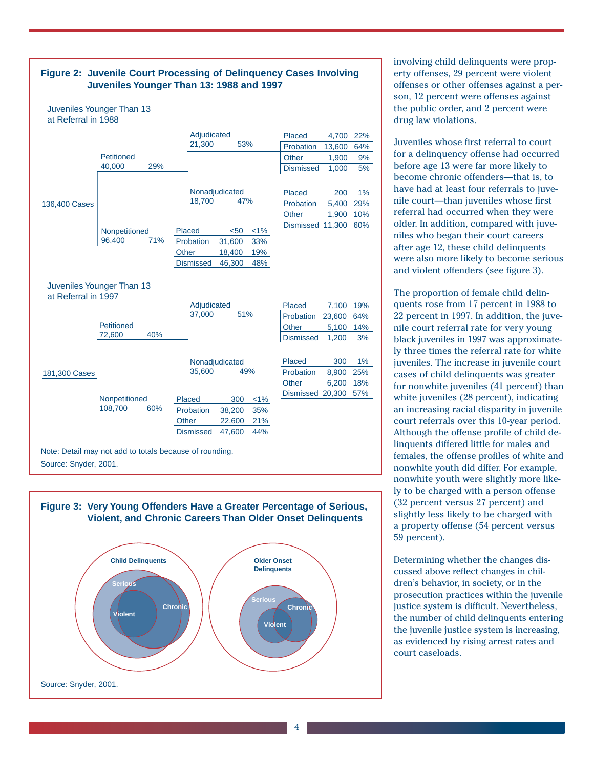



involving child delinquents were property offenses, 29 percent were violent offenses or other offenses against a person, 12 percent were offenses against the public order, and 2 percent were drug law violations.

Juveniles whose first referral to court for a delinquency offense had occurred before age 13 were far more likely to become chronic offenders—that is, to have had at least four referrals to juvenile court—than juveniles whose first referral had occurred when they were older. In addition, compared with juveniles who began their court careers after age 12, these child delinquents were also more likely to become serious and violent offenders (see figure 3).

The proportion of female child delinquents rose from 17 percent in 1988 to 22 percent in 1997. In addition, the juvenile court referral rate for very young black juveniles in 1997 was approximately three times the referral rate for white juveniles. The increase in juvenile court cases of child delinquents was greater for nonwhite juveniles (41 percent) than white juveniles (28 percent), indicating an increasing racial disparity in juvenile court referrals over this 10-year period. Although the offense profile of child delinquents differed little for males and females, the offense profiles of white and nonwhite youth did differ. For example, nonwhite youth were slightly more likely to be charged with a person offense (32 percent versus 27 percent) and slightly less likely to be charged with a property offense (54 percent versus 59 percent).

Determining whether the changes discussed above reflect changes in children's behavior, in society, or in the prosecution practices within the juvenile justice system is difficult. Nevertheless, the number of child delinquents entering the juvenile justice system is increasing, as evidenced by rising arrest rates and court caseloads.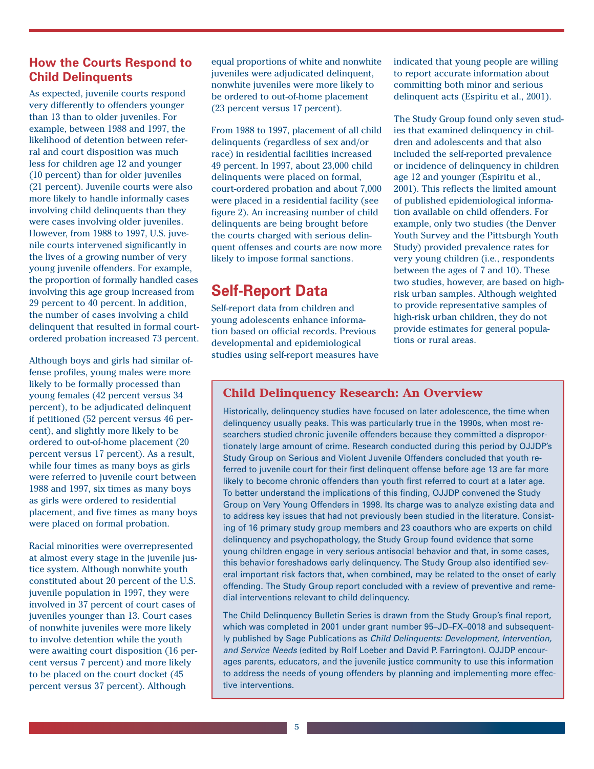### **How the Courts Respond to Child Delinquents**

As expected, juvenile courts respond very differently to offenders younger than 13 than to older juveniles. For example, between 1988 and 1997, the likelihood of detention between referral and court disposition was much less for children age 12 and younger (10 percent) than for older juveniles (21 percent). Juvenile courts were also more likely to handle informally cases involving child delinquents than they were cases involving older juveniles. However, from 1988 to 1997, U.S. juvenile courts intervened significantly in the lives of a growing number of very young juvenile offenders. For example, the proportion of formally handled cases involving this age group increased from 29 percent to 40 percent. In addition, the number of cases involving a child delinquent that resulted in formal courtordered probation increased 73 percent.

Although boys and girls had similar offense profiles, young males were more likely to be formally processed than young females (42 percent versus 34 percent), to be adjudicated delinquent if petitioned (52 percent versus 46 percent), and slightly more likely to be ordered to out-of-home placement (20 percent versus 17 percent). As a result, while four times as many boys as girls were referred to juvenile court between 1988 and 1997, six times as many boys as girls were ordered to residential placement, and five times as many boys were placed on formal probation.

Racial minorities were overrepresented at almost every stage in the juvenile justice system. Although nonwhite youth constituted about 20 percent of the U.S. juvenile population in 1997, they were involved in 37 percent of court cases of juveniles younger than 13. Court cases of nonwhite juveniles were more likely to involve detention while the youth were awaiting court disposition (16 percent versus 7 percent) and more likely to be placed on the court docket (45 percent versus 37 percent). Although

equal proportions of white and nonwhite juveniles were adjudicated delinquent, nonwhite juveniles were more likely to be ordered to out-of-home placement (23 percent versus 17 percent).

From 1988 to 1997, placement of all child delinquents (regardless of sex and/or race) in residential facilities increased 49 percent. In 1997, about 23,000 child delinquents were placed on formal, court-ordered probation and about 7,000 were placed in a residential facility (see figure 2). An increasing number of child delinquents are being brought before the courts charged with serious delinquent offenses and courts are now more likely to impose formal sanctions.

## **Self-Report Data**

Self-report data from children and young adolescents enhance information based on official records. Previous developmental and epidemiological studies using self-report measures have indicated that young people are willing to report accurate information about committing both minor and serious delinquent acts (Espiritu et al., 2001).

The Study Group found only seven studies that examined delinquency in children and adolescents and that also included the self-reported prevalence or incidence of delinquency in children age 12 and younger (Espiritu et al., 2001). This reflects the limited amount of published epidemiological information available on child offenders. For example, only two studies (the Denver Youth Survey and the Pittsburgh Youth Study) provided prevalence rates for very young children (i.e., respondents between the ages of 7 and 10). These two studies, however, are based on highrisk urban samples. Although weighted to provide representative samples of high-risk urban children, they do not provide estimates for general populations or rural areas.

### **Child Delinquency Research: An Overview**

Historically, delinquency studies have focused on later adolescence, the time when delinquency usually peaks. This was particularly true in the 1990s, when most researchers studied chronic juvenile offenders because they committed a disproportionately large amount of crime. Research conducted during this period by OJJDP's Study Group on Serious and Violent Juvenile Offenders concluded that youth referred to juvenile court for their first delinquent offense before age 13 are far more likely to become chronic offenders than youth first referred to court at a later age. To better understand the implications of this finding, OJJDP convened the Study Group on Very Young Offenders in 1998. Its charge was to analyze existing data and to address key issues that had not previously been studied in the literature. Consisting of 16 primary study group members and 23 coauthors who are experts on child delinquency and psychopathology, the Study Group found evidence that some young children engage in very serious antisocial behavior and that, in some cases, this behavior foreshadows early delinquency. The Study Group also identified several important risk factors that, when combined, may be related to the onset of early offending. The Study Group report concluded with a review of preventive and remedial interventions relevant to child delinquency.

The Child Delinquency Bulletin Series is drawn from the Study Group's final report, which was completed in 2001 under grant number 95–JD–FX–0018 and subsequently published by Sage Publications as *Child Delinquents: Development, Intervention, and Service Needs* (edited by Rolf Loeber and David P. Farrington). OJJDP encourages parents, educators, and the juvenile justice community to use this information to address the needs of young offenders by planning and implementing more effective interventions.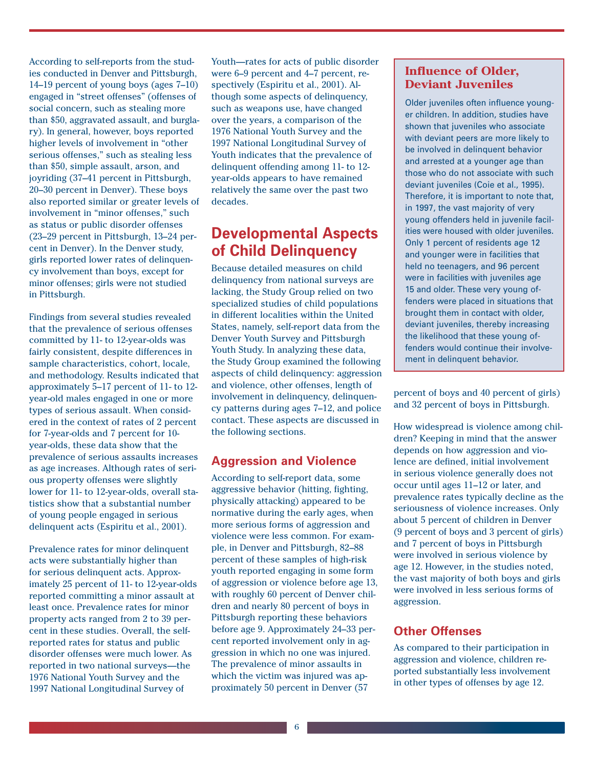According to self-reports from the studies conducted in Denver and Pittsburgh, 14–19 percent of young boys (ages 7–10) engaged in "street offenses" (offenses of social concern, such as stealing more than \$50, aggravated assault, and burglary). In general, however, boys reported higher levels of involvement in "other serious offenses," such as stealing less than \$50, simple assault, arson, and joyriding (37–41 percent in Pittsburgh, 20–30 percent in Denver). These boys also reported similar or greater levels of involvement in "minor offenses," such as status or public disorder offenses (23–29 percent in Pittsburgh, 13–24 percent in Denver). In the Denver study, girls reported lower rates of delinquency involvement than boys, except for minor offenses; girls were not studied in Pittsburgh.

Findings from several studies revealed that the prevalence of serious offenses committed by 11- to 12-year-olds was fairly consistent, despite differences in sample characteristics, cohort, locale, and methodology. Results indicated that approximately 5–17 percent of 11- to 12 year-old males engaged in one or more types of serious assault. When considered in the context of rates of 2 percent for 7-year-olds and 7 percent for 10 year-olds, these data show that the prevalence of serious assaults increases as age increases. Although rates of serious property offenses were slightly lower for 11- to 12-year-olds, overall statistics show that a substantial number of young people engaged in serious delinquent acts (Espiritu et al., 2001).

Prevalence rates for minor delinquent acts were substantially higher than for serious delinquent acts. Approximately 25 percent of 11- to 12-year-olds reported committing a minor assault at least once. Prevalence rates for minor property acts ranged from 2 to 39 percent in these studies. Overall, the selfreported rates for status and public disorder offenses were much lower. As reported in two national surveys—the 1976 National Youth Survey and the 1997 National Longitudinal Survey of

Youth—rates for acts of public disorder were 6–9 percent and 4–7 percent, respectively (Espiritu et al., 2001). Although some aspects of delinquency, such as weapons use, have changed over the years, a comparison of the 1976 National Youth Survey and the 1997 National Longitudinal Survey of Youth indicates that the prevalence of delinquent offending among 11- to 12 year-olds appears to have remained relatively the same over the past two decades.

### **Developmental Aspects of Child Delinquency**

Because detailed measures on child delinquency from national surveys are lacking, the Study Group relied on two specialized studies of child populations in different localities within the United States, namely, self-report data from the Denver Youth Survey and Pittsburgh Youth Study. In analyzing these data, the Study Group examined the following aspects of child delinquency: aggression and violence, other offenses, length of involvement in delinquency, delinquency patterns during ages 7–12, and police contact. These aspects are discussed in the following sections.

### **Aggression and Violence**

According to self-report data, some aggressive behavior (hitting, fighting, physically attacking) appeared to be normative during the early ages, when more serious forms of aggression and violence were less common. For example, in Denver and Pittsburgh, 82–88 percent of these samples of high-risk youth reported engaging in some form of aggression or violence before age 13, with roughly 60 percent of Denver children and nearly 80 percent of boys in Pittsburgh reporting these behaviors before age 9. Approximately 24–33 percent reported involvement only in aggression in which no one was injured. The prevalence of minor assaults in which the victim was injured was approximately 50 percent in Denver (57

### **Influence of Older, Deviant Juveniles**

Older juveniles often influence younger children. In addition, studies have shown that juveniles who associate with deviant peers are more likely to be involved in delinquent behavior and arrested at a younger age than those who do not associate with such deviant juveniles (Coie et al., 1995). Therefore, it is important to note that, in 1997, the vast majority of very young offenders held in juvenile facilities were housed with older juveniles. Only 1 percent of residents age 12 and younger were in facilities that held no teenagers, and 96 percent were in facilities with juveniles age 15 and older. These very young offenders were placed in situations that brought them in contact with older, deviant juveniles, thereby increasing the likelihood that these young offenders would continue their involvement in delinquent behavior.

percent of boys and 40 percent of girls) and 32 percent of boys in Pittsburgh.

How widespread is violence among children? Keeping in mind that the answer depends on how aggression and violence are defined, initial involvement in serious violence generally does not occur until ages 11–12 or later, and prevalence rates typically decline as the seriousness of violence increases. Only about 5 percent of children in Denver (9 percent of boys and 3 percent of girls) and 7 percent of boys in Pittsburgh were involved in serious violence by age 12. However, in the studies noted, the vast majority of both boys and girls were involved in less serious forms of aggression.

### **Other Offenses**

As compared to their participation in aggression and violence, children reported substantially less involvement in other types of offenses by age 12.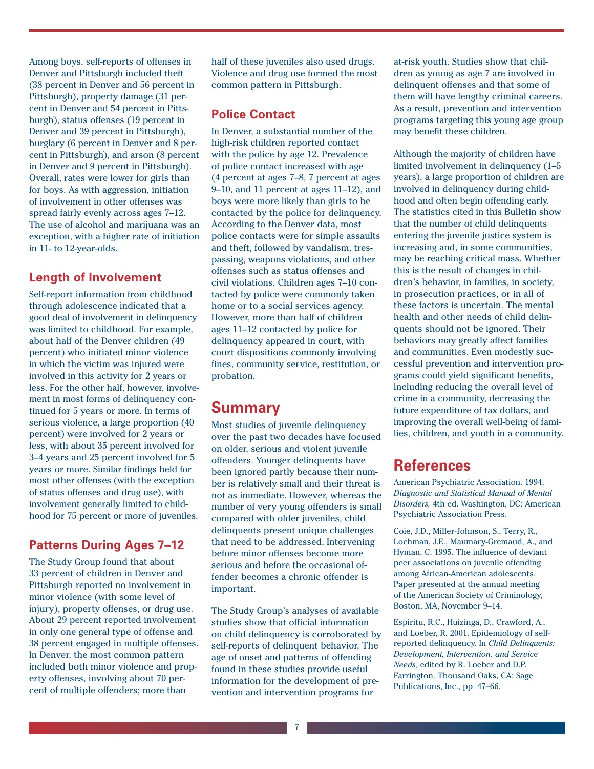Among boys, self-reports of offenses in Denver and Pittsburgh included theft (38 percent in Denver and 56 percent in Pittsburgh), property damage (31 percent in Denver and 54 percent in Pittsburgh), status offenses (19 percent in Denver and 39 percent in Pittsburgh), burglary (6 percent in Denver and 8 percent in Pittsburgh), and arson (8 percent in Denver and 9 percent in Pittsburgh). Overall, rates were lower for girls than for boys. As with aggression, initiation of involvement in other offenses was spread fairly evenly across ages 7–12. The use of alcohol and marijuana was an exception, with a higher rate of initiation in 11- to 12-year-olds.

### **Length of Involvement**

Self-report information from childhood through adolescence indicated that a good deal of involvement in delinquency was limited to childhood. For example, about half of the Denver children (49 percent) who initiated minor violence in which the victim was injured were involved in this activity for 2 years or less. For the other half, however, involvement in most forms of delinquency continued for 5 years or more. In terms of serious violence, a large proportion (40 percent) were involved for 2 years or less, with about 35 percent involved for 3–4 years and 25 percent involved for 5 years or more. Similar findings held for most other offenses (with the exception of status offenses and drug use), with involvement generally limited to childhood for 75 percent or more of juveniles.

### **Patterns During Ages 7–12**

The Study Group found that about 33 percent of children in Denver and Pittsburgh reported no involvement in minor violence (with some level of injury), property offenses, or drug use. About 29 percent reported involvement in only one general type of offense and 38 percent engaged in multiple offenses. In Denver, the most common pattern included both minor violence and property offenses, involving about 70 percent of multiple offenders; more than

half of these juveniles also used drugs. Violence and drug use formed the most common pattern in Pittsburgh.

### **Police Contact**

In Denver, a substantial number of the high-risk children reported contact with the police by age 12. Prevalence of police contact increased with age (4 percent at ages 7–8, 7 percent at ages 9–10, and 11 percent at ages 11–12), and boys were more likely than girls to be contacted by the police for delinquency. According to the Denver data, most police contacts were for simple assaults and theft, followed by vandalism, trespassing, weapons violations, and other offenses such as status offenses and civil violations. Children ages 7–10 contacted by police were commonly taken home or to a social services agency. However, more than half of children ages 11–12 contacted by police for delinquency appeared in court, with court dispositions commonly involving fines, community service, restitution, or probation.

### **Summary**

Most studies of juvenile delinquency over the past two decades have focused on older, serious and violent juvenile offenders. Younger delinquents have been ignored partly because their number is relatively small and their threat is not as immediate. However, whereas the number of very young offenders is small compared with older juveniles, child delinquents present unique challenges that need to be addressed. Intervening before minor offenses become more serious and before the occasional offender becomes a chronic offender is important.

The Study Group's analyses of available studies show that official information on child delinquency is corroborated by self-reports of delinquent behavior. The age of onset and patterns of offending found in these studies provide useful information for the development of prevention and intervention programs for

at-risk youth. Studies show that children as young as age 7 are involved in delinquent offenses and that some of them will have lengthy criminal careers. As a result, prevention and intervention programs targeting this young age group may benefit these children.

Although the majority of children have limited involvement in delinquency (1–5 years), a large proportion of children are involved in delinquency during childhood and often begin offending early. The statistics cited in this Bulletin show that the number of child delinquents entering the juvenile justice system is increasing and, in some communities, may be reaching critical mass. Whether this is the result of changes in children's behavior, in families, in society, in prosecution practices, or in all of these factors is uncertain. The mental health and other needs of child delinquents should not be ignored. Their behaviors may greatly affect families and communities. Even modestly successful prevention and intervention programs could yield significant benefits, including reducing the overall level of crime in a community, decreasing the future expenditure of tax dollars, and improving the overall well-being of families, children, and youth in a community.

# **References**

American Psychiatric Association. 1994. *Diagnostic and Statistical Manual of Mental Disorders,* 4th ed. Washington, DC: American Psychiatric Association Press.

Coie, J.D., Miller-Johnson, S., Terry, R., Lochman, J.E., Maumary-Gremaud, A., and Hyman, C. 1995. The influence of deviant peer associations on juvenile offending among African-American adolescents. Paper presented at the annual meeting of the American Society of Criminology, Boston, MA, November 9–14.

Espiritu, R.C., Huizinga, D., Crawford, A., and Loeber, R. 2001. Epidemiology of selfreported delinquency. In *Child Delinquents: Development, Intervention, and Service Needs,* edited by R. Loeber and D.P. Farrington. Thousand Oaks, CA: Sage Publications, Inc., pp. 47–66.